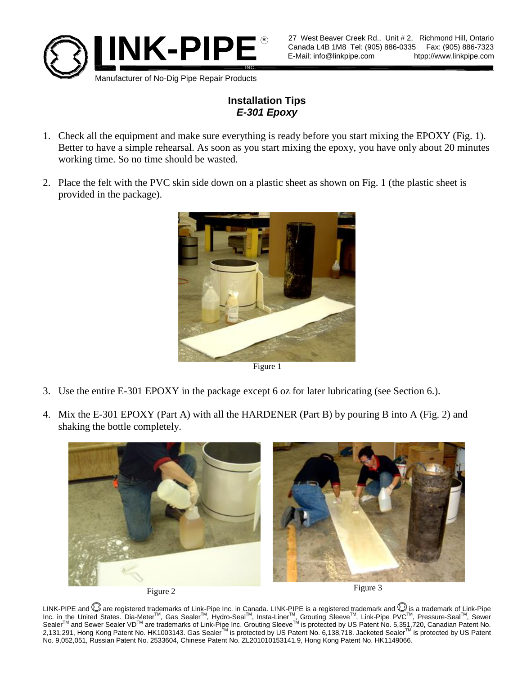

## **Installation Tips** *E-301 Epoxy*

- 1. Check all the equipment and make sure everything is ready before you start mixing the EPOXY (Fig. 1). Better to have a simple rehearsal. As soon as you start mixing the epoxy, you have only about 20 minutes working time. So no time should be wasted.
- 2. Place the felt with the PVC skin side down on a plastic sheet as shown on Fig. 1 (the plastic sheet is provided in the package).



Figure 1

- 3. Use the entire E-301 EPOXY in the package except 6 oz for later lubricating (see Section 6.).
- 4. Mix the E-301 EPOXY (Part A) with all the HARDENER (Part B) by pouring B into A (Fig. 2) and shaking the bottle completely.





LINK-PIPE and Ѿ are registered trademarks of Link-Pipe Inc. in Canada. LINK-PIPE is a registered trademark and Ѿ is a trademark of Link-Pipe<br>Inc. in the United States. Dia-Meter™, Gas Sealer™, Hydro-Seal™, Insta-Liner™, G Sealer<sup>™</sup> and Sewer Sealer VD<sup>™</sup> are trademarks of Link-Pipe Inc. Grouting Sleeve<sup>TM</sup> is protected by US Patent No. 5,351,720, Canadian Patent No. 2,131,291, Hong Kong Patent No. HK1003143. Gas Sealer™ is protected by US Patent No. 6,138,718. Jacketed Sealer™ is protected by US Patent No. 9,052,051, Russian Patent No. 2533604, Chinese Patent No. ZL201010153141.9, Hong Kong Patent No. HK1149066.